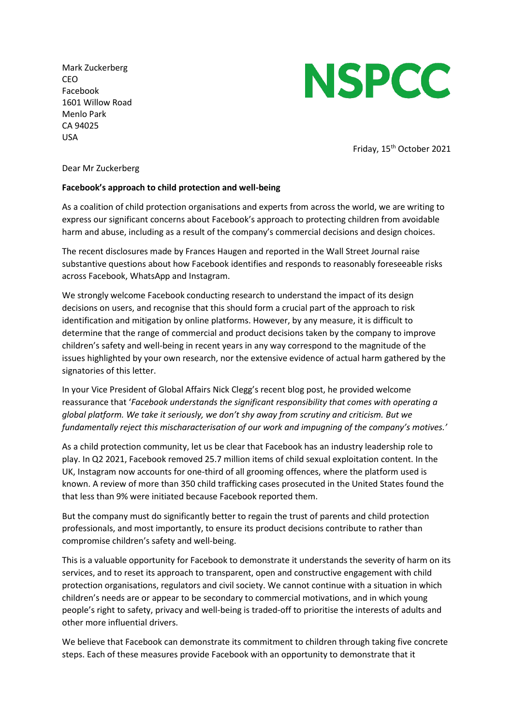Mark Zuckerberg CEO Facebook 1601 Willow Road Menlo Park CA 94025 USA



Friday, 15<sup>th</sup> October 2021

Dear Mr Zuckerberg

## **Facebook's approach to child protection and well-being**

As a coalition of child protection organisations and experts from across the world, we are writing to express our significant concerns about Facebook's approach to protecting children from avoidable harm and abuse, including as a result of the company's commercial decisions and design choices.

The recent disclosures made by Frances Haugen and reported in the Wall Street Journal raise substantive questions about how Facebook identifies and responds to reasonably foreseeable risks across Facebook, WhatsApp and Instagram.

We strongly welcome Facebook conducting research to understand the impact of its design decisions on users, and recognise that this should form a crucial part of the approach to risk identification and mitigation by online platforms. However, by any measure, it is difficult to determine that the range of commercial and product decisions taken by the company to improve children's safety and well-being in recent years in any way correspond to the magnitude of the issues highlighted by your own research, nor the extensive evidence of actual harm gathered by the signatories of this letter.

In your Vice President of Global Affairs Nick Clegg's recent blog post, he provided welcome reassurance that '*Facebook understands the significant responsibility that comes with operating a global platform. We take it seriously, we don't shy away from scrutiny and criticism. But we fundamentally reject this mischaracterisation of our work and impugning of the company's motives.'*

As a child protection community, let us be clear that Facebook has an industry leadership role to play. In Q2 2021, Facebook removed 25.7 million items of child sexual exploitation content. In the UK, Instagram now accounts for one-third of all grooming offences, where the platform used is known. A review of more than 350 child trafficking cases prosecuted in the United States found the that less than 9% were initiated because Facebook reported them.

But the company must do significantly better to regain the trust of parents and child protection professionals, and most importantly, to ensure its product decisions contribute to rather than compromise children's safety and well-being.

This is a valuable opportunity for Facebook to demonstrate it understands the severity of harm on its services, and to reset its approach to transparent, open and constructive engagement with child protection organisations, regulators and civil society. We cannot continue with a situation in which children's needs are or appear to be secondary to commercial motivations, and in which young people's right to safety, privacy and well-being is traded-off to prioritise the interests of adults and other more influential drivers.

We believe that Facebook can demonstrate its commitment to children through taking five concrete steps. Each of these measures provide Facebook with an opportunity to demonstrate that it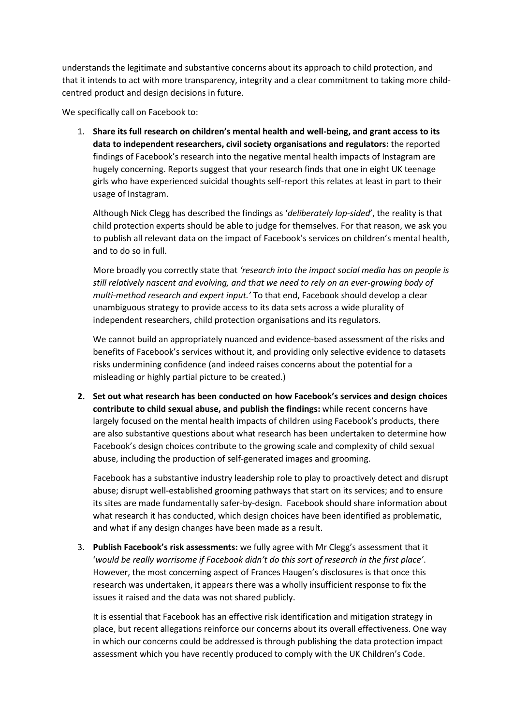understands the legitimate and substantive concerns about its approach to child protection, and that it intends to act with more transparency, integrity and a clear commitment to taking more childcentred product and design decisions in future.

We specifically call on Facebook to:

1. **Share its full research on children's mental health and well-being, and grant access to its data to independent researchers, civil society organisations and regulators:** the reported findings of Facebook's research into the negative mental health impacts of Instagram are hugely concerning. Reports suggest that your research finds that one in eight UK teenage girls who have experienced suicidal thoughts self-report this relates at least in part to their usage of Instagram.

Although Nick Clegg has described the findings as '*deliberately lop-sided*', the reality is that child protection experts should be able to judge for themselves. For that reason, we ask you to publish all relevant data on the impact of Facebook's services on children's mental health, and to do so in full.

More broadly you correctly state that *'research into the impact social media has on people is still relatively nascent and evolving, and that we need to rely on an ever-growing body of multi-method research and expert input.'* To that end, Facebook should develop a clear unambiguous strategy to provide access to its data sets across a wide plurality of independent researchers, child protection organisations and its regulators.

We cannot build an appropriately nuanced and evidence-based assessment of the risks and benefits of Facebook's services without it, and providing only selective evidence to datasets risks undermining confidence (and indeed raises concerns about the potential for a misleading or highly partial picture to be created.)

**2. Set out what research has been conducted on how Facebook's services and design choices contribute to child sexual abuse, and publish the findings:** while recent concerns have largely focused on the mental health impacts of children using Facebook's products, there are also substantive questions about what research has been undertaken to determine how Facebook's design choices contribute to the growing scale and complexity of child sexual abuse, including the production of self-generated images and grooming.

Facebook has a substantive industry leadership role to play to proactively detect and disrupt abuse; disrupt well-established grooming pathways that start on its services; and to ensure its sites are made fundamentally safer-by-design. Facebook should share information about what research it has conducted, which design choices have been identified as problematic, and what if any design changes have been made as a result.

3. **Publish Facebook's risk assessments:** we fully agree with Mr Clegg's assessment that it '*would be really worrisome if Facebook didn't do this sort of research in the first place'*. However, the most concerning aspect of Frances Haugen's disclosures is that once this research was undertaken, it appears there was a wholly insufficient response to fix the issues it raised and the data was not shared publicly.

It is essential that Facebook has an effective risk identification and mitigation strategy in place, but recent allegations reinforce our concerns about its overall effectiveness. One way in which our concerns could be addressed is through publishing the data protection impact assessment which you have recently produced to comply with the UK Children's Code.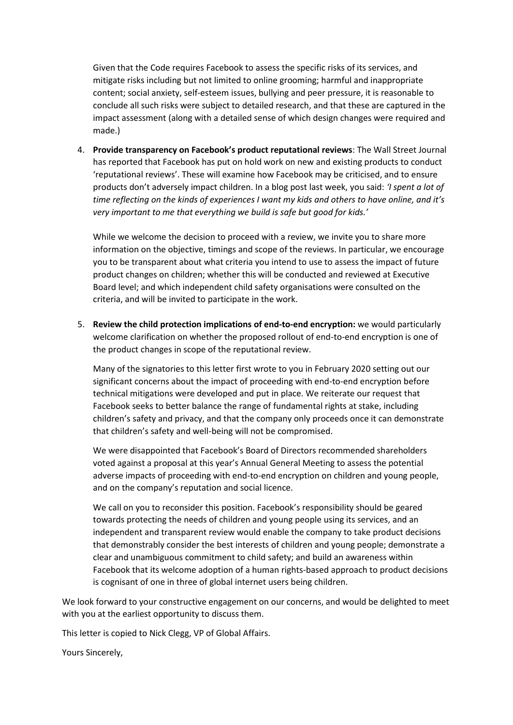Given that the Code requires Facebook to assess the specific risks of its services, and mitigate risks including but not limited to online grooming; harmful and inappropriate content; social anxiety, self-esteem issues, bullying and peer pressure, it is reasonable to conclude all such risks were subject to detailed research, and that these are captured in the impact assessment (along with a detailed sense of which design changes were required and made.)

4. **Provide transparency on Facebook's product reputational reviews**: The Wall Street Journal has reported that Facebook has put on hold work on new and existing products to conduct 'reputational reviews'. These will examine how Facebook may be criticised, and to ensure products don't adversely impact children. In a blog post last week, you said: *'I spent a lot of time reflecting on the kinds of experiences I want my kids and others to have online, and it's very important to me that everything we build is safe but good for kids.'*

While we welcome the decision to proceed with a review, we invite you to share more information on the objective, timings and scope of the reviews. In particular, we encourage you to be transparent about what criteria you intend to use to assess the impact of future product changes on children; whether this will be conducted and reviewed at Executive Board level; and which independent child safety organisations were consulted on the criteria, and will be invited to participate in the work.

5. **Review the child protection implications of end-to-end encryption:** we would particularly welcome clarification on whether the proposed rollout of end-to-end encryption is one of the product changes in scope of the reputational review.

Many of the signatories to this letter first wrote to you in February 2020 setting out our significant concerns about the impact of proceeding with end-to-end encryption before technical mitigations were developed and put in place. We reiterate our request that Facebook seeks to better balance the range of fundamental rights at stake, including children's safety and privacy, and that the company only proceeds once it can demonstrate that children's safety and well-being will not be compromised.

We were disappointed that Facebook's Board of Directors recommended shareholders voted against a proposal at this year's Annual General Meeting to assess the potential adverse impacts of proceeding with end-to-end encryption on children and young people, and on the company's reputation and social licence.

We call on you to reconsider this position. Facebook's responsibility should be geared towards protecting the needs of children and young people using its services, and an independent and transparent review would enable the company to take product decisions that demonstrably consider the best interests of children and young people; demonstrate a clear and unambiguous commitment to child safety; and build an awareness within Facebook that its welcome adoption of a human rights-based approach to product decisions is cognisant of one in three of global internet users being children.

We look forward to your constructive engagement on our concerns, and would be delighted to meet with you at the earliest opportunity to discuss them.

This letter is copied to Nick Clegg, VP of Global Affairs.

Yours Sincerely,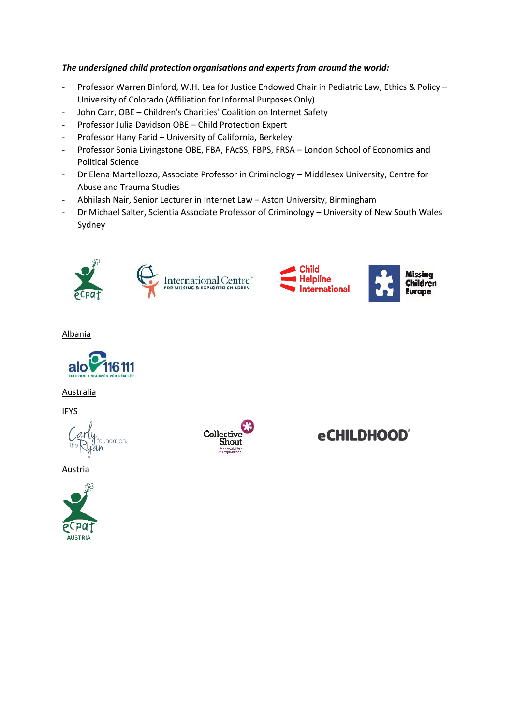## *The undersigned child protection organisations and experts from around the world:*

- Professor Warren Binford, W.H. Lea for Justice Endowed Chair in Pediatric Law, Ethics & Policy University of Colorado (Affiliation for Informal Purposes Only)
- John Carr, OBE Children's Charities' Coalition on Internet Safety
- Professor Julia Davidson OBE Child Protection Expert
- Professor Hany Farid University of California, Berkeley
- Professor Sonia Livingstone OBE, FBA, FAcSS, FBPS, FRSA London School of Economics and Political Science
- Dr Elena Martellozzo, Associate Professor in Criminology Middlesex University, Centre for Abuse and Trauma Studies
- Abhilash Nair, Senior Lecturer in Internet Law Aston University, Birmingham
- Dr Michael Salter, Scientia Associate Professor of Criminology University of New South Wales Sydney





**Missing** 

**Europe** 

**Children** 

Albania



Australia

**IFYS** 



**Austria** 





**eCHILDHOOD®**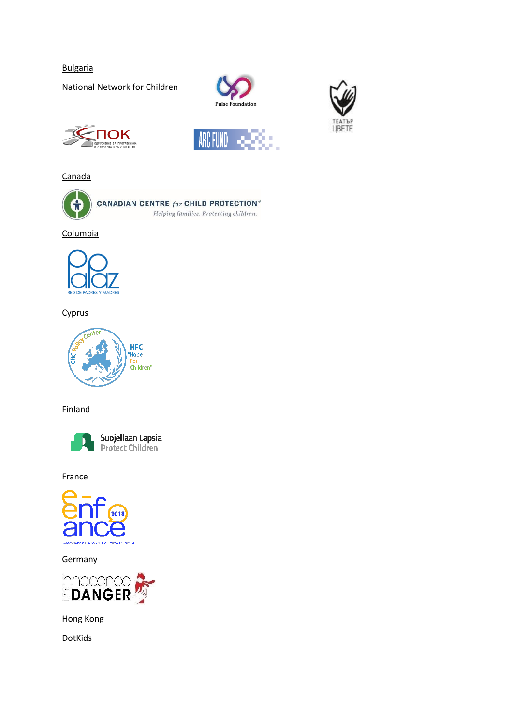Bulgaria

National Network for Children



ARC FUND





Canada



Columbia



## **Cyprus**



**Finland** 



Suojellaan Lapsia<br>Protect Children

**France** 



**Germany** 



Hong Kong

DotKids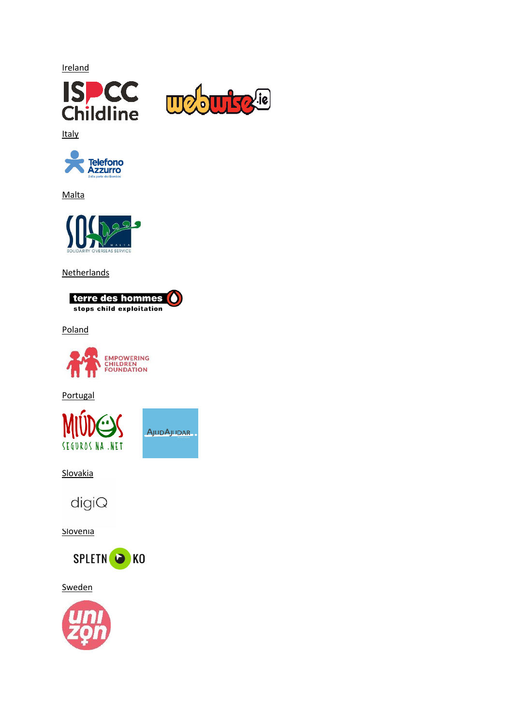**Ireland** 





**Italy** 



Malta



Netherlands



Poland



**Portugal** 



**Slovakia** 



**Slovenia** 



**Sweden**